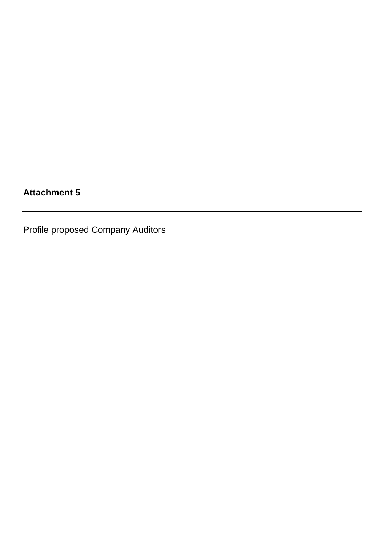## **Attachment 5**

Profile proposed Company Auditors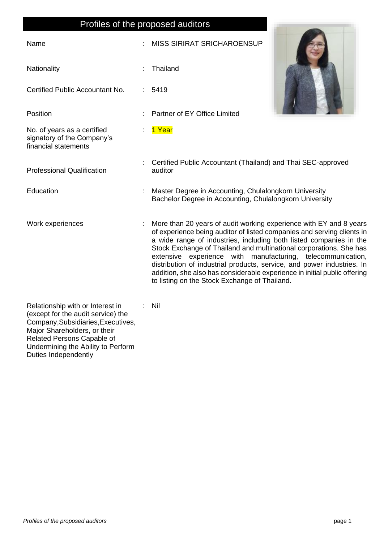## Profiles of the proposed auditors Name : MISS SIRIRAT SRICHAROENSUP Nationality **in the U.S. Contract of Thailand** in Thailand Certified Public Accountant No. : 5419 Position : Partner of EY Office Limited No. of years as a certified signatory of the Company's financial statements : 1 Year Professional Qualification : Certified Public Accountant (Thailand) and Thai SEC-approved auditor Education : Master Degree in Accounting, Chulalongkorn University Bachelor Degree in Accounting, Chulalongkorn University Work experiences : More than 20 years of audit working experience with EY and 8 years of experience being auditor of listed companies and serving clients in a wide range of industries, including both listed companies in the Stock Exchange of Thailand and multinational corporations. She has extensive experience with manufacturing, telecommunication, distribution of industrial products, service, and power industries. In addition, she also has considerable experience in initial public offering to listing on the Stock Exchange of Thailand. : Nil

Relationship with or Interest in (except for the audit service) the Company,Subsidiaries,Executives, Major Shareholders, or their Related Persons Capable of Undermining the Ability to Perform Duties Independently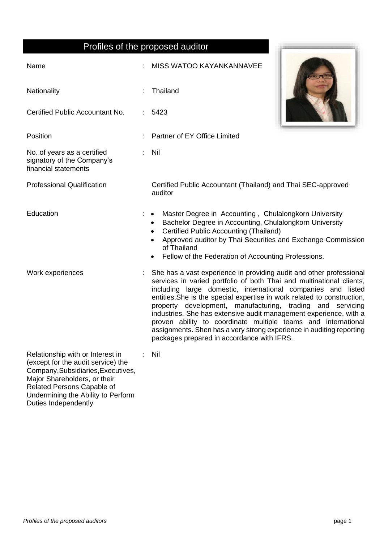## Profiles of the proposed auditor

| Profiles of the proposed auditor                                                                                                                                           |  |                                                                                                                                                                                                                                                                                                                                                                                                                                                                                                                                                                                                                  |
|----------------------------------------------------------------------------------------------------------------------------------------------------------------------------|--|------------------------------------------------------------------------------------------------------------------------------------------------------------------------------------------------------------------------------------------------------------------------------------------------------------------------------------------------------------------------------------------------------------------------------------------------------------------------------------------------------------------------------------------------------------------------------------------------------------------|
| Name                                                                                                                                                                       |  | <b>MISS WATOO KAYANKANNAVEE</b>                                                                                                                                                                                                                                                                                                                                                                                                                                                                                                                                                                                  |
| Nationality                                                                                                                                                                |  | Thailand                                                                                                                                                                                                                                                                                                                                                                                                                                                                                                                                                                                                         |
| Certified Public Accountant No.                                                                                                                                            |  | 5423                                                                                                                                                                                                                                                                                                                                                                                                                                                                                                                                                                                                             |
| Position                                                                                                                                                                   |  | Partner of EY Office Limited                                                                                                                                                                                                                                                                                                                                                                                                                                                                                                                                                                                     |
| No. of years as a certified<br>signatory of the Company's<br>financial statements                                                                                          |  | Nil                                                                                                                                                                                                                                                                                                                                                                                                                                                                                                                                                                                                              |
| <b>Professional Qualification</b>                                                                                                                                          |  | Certified Public Accountant (Thailand) and Thai SEC-approved<br>auditor                                                                                                                                                                                                                                                                                                                                                                                                                                                                                                                                          |
| Education                                                                                                                                                                  |  | Master Degree in Accounting, Chulalongkorn University<br>Bachelor Degree in Accounting, Chulalongkorn University<br>$\bullet$<br><b>Certified Public Accounting (Thailand)</b><br>$\bullet$<br>Approved auditor by Thai Securities and Exchange Commission<br>of Thailand<br>Fellow of the Federation of Accounting Professions.                                                                                                                                                                                                                                                                                 |
| Work experiences                                                                                                                                                           |  | She has a vast experience in providing audit and other professional<br>services in varied portfolio of both Thai and multinational clients,<br>including large domestic, international companies and listed<br>entities. She is the special expertise in work related to construction,<br>property development, manufacturing, trading and servicing<br>industries. She has extensive audit management experience, with a<br>proven ability to coordinate multiple teams and international<br>assignments. Shen has a very strong experience in auditing reporting<br>packages prepared in accordance with IFRS. |
| Relationship with or Interest in<br>(except for the audit service) the<br>Company, Subsidiaries, Executives,<br>Major Shareholders, or their<br>Related Persons Capable of |  | Nil                                                                                                                                                                                                                                                                                                                                                                                                                                                                                                                                                                                                              |

Undermining the Ability to Perform

Duties Independently